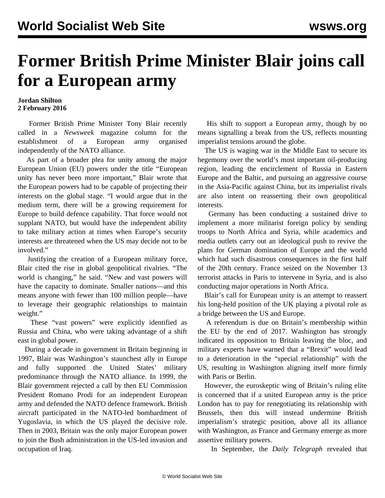## **Former British Prime Minister Blair joins call for a European army**

## **Jordan Shilton 2 February 2016**

 Former British Prime Minister Tony Blair recently called in a *Newsweek* magazine column for the establishment of a European army organised independently of the NATO alliance.

 As part of a broader plea for unity among the major European Union (EU) powers under the title "European unity has never been more important," Blair wrote that the European powers had to be capable of projecting their interests on the global stage. "I would argue that in the medium term, there will be a growing requirement for Europe to build defence capability. That force would not supplant NATO, but would have the independent ability to take military action at times when Europe's security interests are threatened when the US may decide not to be involved."

 Justifying the creation of a European military force, Blair cited the rise in global geopolitical rivalries. "The world is changing," he said. "New and vast powers will have the capacity to dominate. Smaller nations—and this means anyone with fewer than 100 million people—have to leverage their geographic relationships to maintain weight."

 These "vast powers" were explicitly identified as Russia and China, who were taking advantage of a shift east in global power.

 During a decade in government in Britain beginning in 1997, Blair was Washington's staunchest ally in Europe and fully supported the United States' military predominance through the NATO alliance. In 1999, the Blair government rejected a call by then EU Commission President Romano Prodi for an independent European army and defended the NATO defence framework. British aircraft participated in the NATO-led bombardment of Yugoslavia, in which the US played the decisive role. Then in 2003, Britain was the only major European power to join the Bush administration in the US-led invasion and occupation of Iraq.

 His shift to support a European army, though by no means signalling a break from the US, reflects mounting imperialist tensions around the globe.

 The US is waging war in the Middle East to secure its hegemony over the world's most important oil-producing region, leading the encirclement of Russia in Eastern Europe and the Baltic, and pursuing an aggressive course in the Asia-Pacific against China, but its imperialist rivals are also intent on reasserting their own geopolitical interests.

 Germany has been conducting a sustained drive to implement a more militarist foreign policy by sending troops to North Africa and Syria, while academics and media outlets carry out an ideological push to revive the plans for German domination of Europe and the world which had such disastrous consequences in the first half of the 20th century. France seized on the November 13 terrorist attacks in Paris to intervene in Syria, and is also conducting major operations in North Africa.

 Blair's call for European unity is an attempt to reassert his long-held position of the UK playing a pivotal role as a bridge between the US and Europe.

 A referendum is due on Britain's membership within the EU by the end of 2017. Washington has strongly indicated its opposition to Britain leaving the bloc, and military experts have warned that a "Brexit" would lead to a deterioration in the "special relationship" with the US, resulting in Washington aligning itself more firmly with Paris or Berlin.

 However, the euroskeptic wing of Britain's ruling elite is concerned that if a united European army is the price London has to pay for renegotiating its relationship with Brussels, then this will instead undermine British imperialism's strategic position, above all its alliance with Washington, as France and Germany emerge as more assertive military powers.

In September, the *Daily Telegraph* revealed that